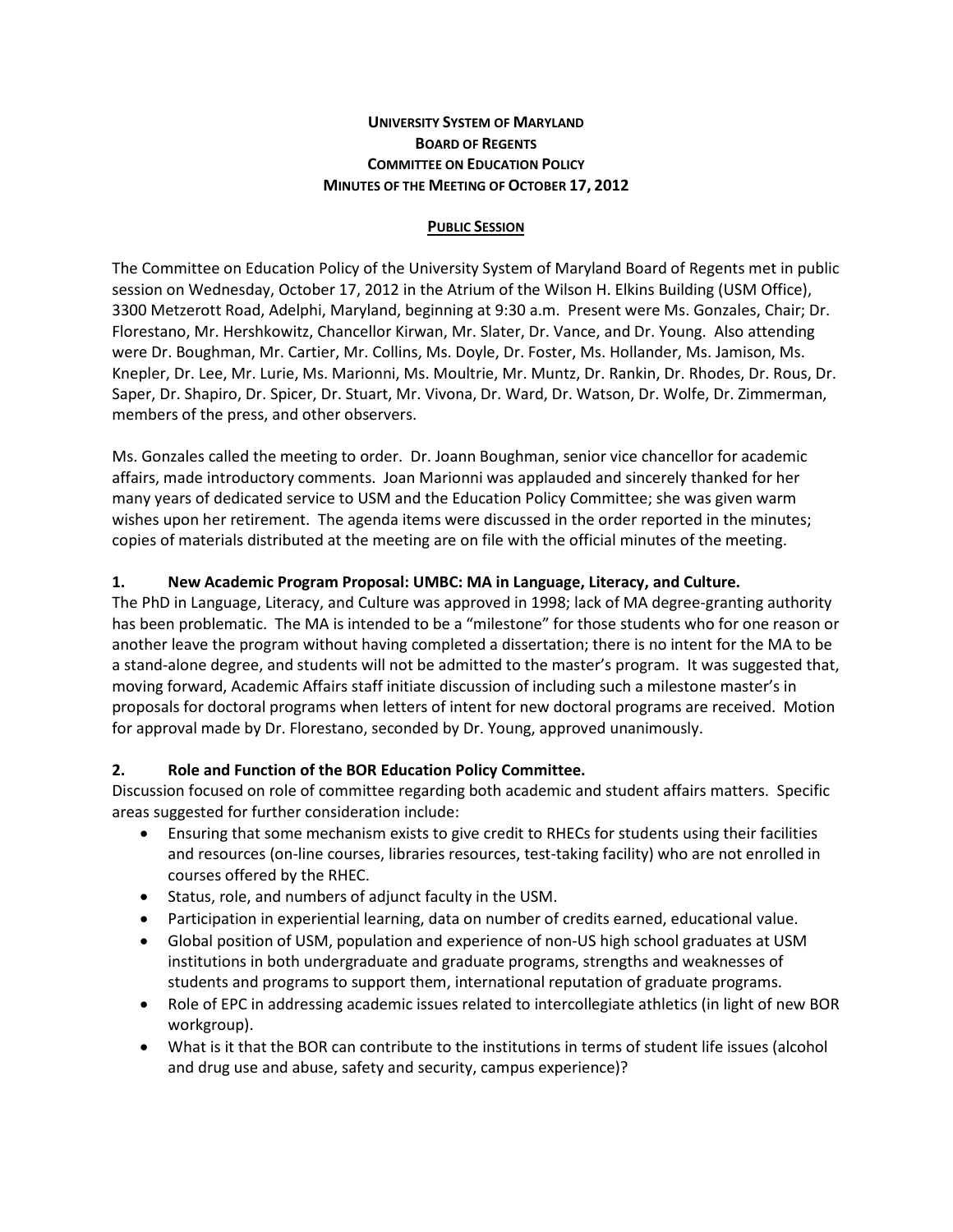## **UNIVERSITY SYSTEM OF MARYLAND BOARD OF REGENTS COMMITTEE ON EDUCATION POLICY MINUTES OF THE MEETING OF OCTOBER 17, 2012**

### **PUBLIC SESSION**

The Committee on Education Policy of the University System of Maryland Board of Regents met in public session on Wednesday, October 17, 2012 in the Atrium of the Wilson H. Elkins Building (USM Office), 3300 Metzerott Road, Adelphi, Maryland, beginning at 9:30 a.m. Present were Ms. Gonzales, Chair; Dr. Florestano, Mr. Hershkowitz, Chancellor Kirwan, Mr. Slater, Dr. Vance, and Dr. Young. Also attending were Dr. Boughman, Mr. Cartier, Mr. Collins, Ms. Doyle, Dr. Foster, Ms. Hollander, Ms. Jamison, Ms. Knepler, Dr. Lee, Mr. Lurie, Ms. Marionni, Ms. Moultrie, Mr. Muntz, Dr. Rankin, Dr. Rhodes, Dr. Rous, Dr. Saper, Dr. Shapiro, Dr. Spicer, Dr. Stuart, Mr. Vivona, Dr. Ward, Dr. Watson, Dr. Wolfe, Dr. Zimmerman, members of the press, and other observers.

Ms. Gonzales called the meeting to order. Dr. Joann Boughman, senior vice chancellor for academic affairs, made introductory comments. Joan Marionni was applauded and sincerely thanked for her many years of dedicated service to USM and the Education Policy Committee; she was given warm wishes upon her retirement. The agenda items were discussed in the order reported in the minutes; copies of materials distributed at the meeting are on file with the official minutes of the meeting.

### **1. New Academic Program Proposal: UMBC: MA in Language, Literacy, and Culture.**

The PhD in Language, Literacy, and Culture was approved in 1998; lack of MA degree-granting authority has been problematic. The MA is intended to be a "milestone" for those students who for one reason or another leave the program without having completed a dissertation; there is no intent for the MA to be a stand-alone degree, and students will not be admitted to the master's program. It was suggested that, moving forward, Academic Affairs staff initiate discussion of including such a milestone master's in proposals for doctoral programs when letters of intent for new doctoral programs are received. Motion for approval made by Dr. Florestano, seconded by Dr. Young, approved unanimously.

## **2. Role and Function of the BOR Education Policy Committee.**

Discussion focused on role of committee regarding both academic and student affairs matters. Specific areas suggested for further consideration include:

- Ensuring that some mechanism exists to give credit to RHECs for students using their facilities and resources (on-line courses, libraries resources, test-taking facility) who are not enrolled in courses offered by the RHEC.
- Status, role, and numbers of adjunct faculty in the USM.
- Participation in experiential learning, data on number of credits earned, educational value.
- Global position of USM, population and experience of non-US high school graduates at USM institutions in both undergraduate and graduate programs, strengths and weaknesses of students and programs to support them, international reputation of graduate programs.
- Role of EPC in addressing academic issues related to intercollegiate athletics (in light of new BOR workgroup).
- What is it that the BOR can contribute to the institutions in terms of student life issues (alcohol and drug use and abuse, safety and security, campus experience)?